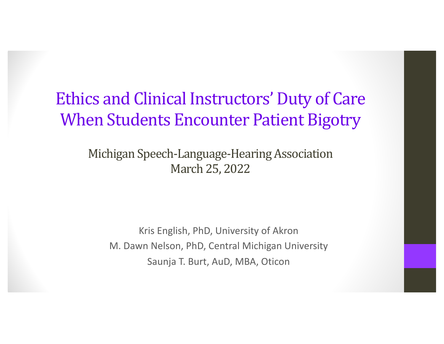## Ethics and Clinical Instructors' Duty of Care When Students Encounter Patient Bigotry

Michigan Speech-Language-Hearing Association March 25, 2022

Kris English, PhD, University of Akron M. Dawn Nelson, PhD, Central Michigan University Saunja T. Burt, AuD, MBA, Oticon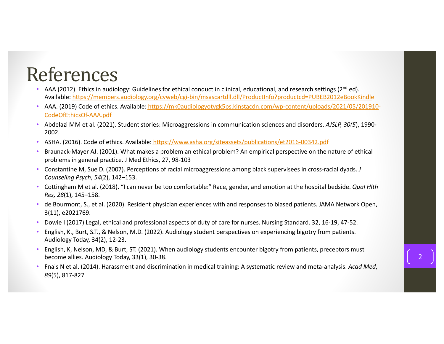## References

- AAA (2012). Ethics in audiology: Guidelines for ethical conduct in clinical, educational, and research settings (2<sup>nd</sup> ed). Availab[le: https://members.audiology.org/cvweb/cgi-bin/msascartdll.dll/ProductInfo?productcd=PUBEB2012eBookKind](https://members.audiology.org/cvweb/cgi-bin/msascartdll.dll/ProductInfo?productcd=PUBEB2012eBookKindle)le
- [AAA. \(2019\) Code of ethics. Available: https://mk0audiologyotvgk5ps.kinstacdn.com/wp-content/uploads/2021/05/20191](https://mk0audiologyotvgk5ps.kinstacdn.com/wp-content/uploads/2021/05/201910-CodeOfEthicsOf-AAA.pdf)0- CodeOfEthicsOf-AAA.pdf
- Abdelazi MM et al. (2021). Student stories: Microaggressions in communication sciences and disorders. *AJSLP, 30(5*), 1990- 2002.
- ASHA. (2016). Code of ethics. Availa[ble: https://www.asha.org/siteassets/publications/et2016-00342.p](https://www.asha.org/siteassets/publications/et2016-00342.pdf)df
- Braunack-Mayer AJ. (2001). What makes a problem an ethical problem? An empirical perspective on the nature of ethical problems in general practice. J Med Ethics, 27, 98-103
- Constantine M, Sue D. (2007). Perceptions of racial microaggressions among black supervisees in cross-racial dyads. *J Counseling Psych*, *54*(2), 142–153.
- Cottingham M et al. (2018). "I can never be too comfortable:" Race, gender, and emotion at the hospital bedside. *Qual Hlth Res, 28*(1), 145–158.
- de Bourmont, S., et al. (2020). Resident physician experiences with and responses to biased patients. JAMA Network Open, 3(11), e2021769.
- Dowie I (2017) Legal, ethical and professional aspects of duty of care for nurses. Nursing Standard. 32, 16-19, 47-52.
- English, K., Burt, S.T., & Nelson, M.D. (2022). Audiology student perspectives on experiencing bigotry from patients. Audiology Today, 34(2), 12-23.
- English, K, Nelson, MD, & Burt, ST. (2021). When audiology students encounter bigotry from patients, preceptors must become allies. Audiology Today, 33(1), 30-38.
- Fnais N et al. (2014). Harassment and discrimination in medical training: A systematic review and meta-analysis. *Acad Med*, *89*(5), 817-827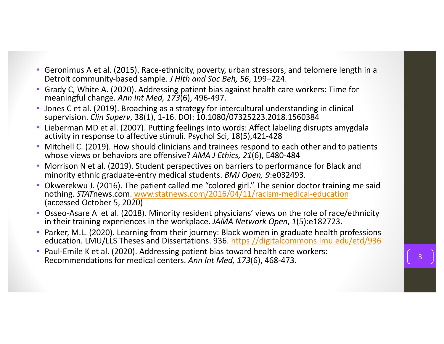- Geronimus A et al. (2015). Race-ethnicity, poverty, urban stressors, and telomere length in a Detroit community-based sample. *J Hlth and Soc Beh, 56*, 199–224.
- Grady C, White A. (2020). Addressing patient bias against health care workers: Time for meaningful change. *Ann Int Med, 173*(6), 496-497.
- Jones C et al. (2019). Broaching as a strategy for intercultural understanding in clinical supervision. *Clin Superv*, 38(1), 1-16. DOI: 10.1080/07325223.2018.1560384
- Lieberman MD et al. (2007). Putting feelings into words: Affect labeling disrupts amygdala activity in response to affective stimuli. Psychol Sci, 18(5),421-428
- Mitchell C. (2019). How should clinicians and trainees respond to each other and to patients whose views or behaviors are offensive? *AMA J Ethics, 21*(6), E480-484
- Morrison N et al. (2019). Student perspectives on barriers to performance for Black and minority ethnic graduate-entry medical students. *BMJ Open, 9*:e032493.
- Okwerekwu J. (2016). The patient called me "colored girl." The senior doctor training me said nothing. *STAT*news.co[m. www.statnews.com/2016/04/11/racism-medical-educatio](http://www.statnews.com/2016/04/11/racism-medical-education)n (accessed October 5, 2020)
- Osseo-Asare A et al. (2018). Minority resident physicians' views on the role of race/ethnicity in their training experiences in the workplace. *JAMA Network Open*, *1*(5):e182723.
- Parker, M.L. (2020). Learning from their journey: Black women in graduate health professions education. LMU/LLS Theses and Dissertations. 9[36. https://digitalcommons.lmu.edu/etd/93](https://digitalcommons.lmu.edu/etd/936)6
- Paul-Emile K et al. (2020). Addressing patient bias toward health care workers: Recommendations for medical centers. Ann Int Med, 173(6), 468-473.